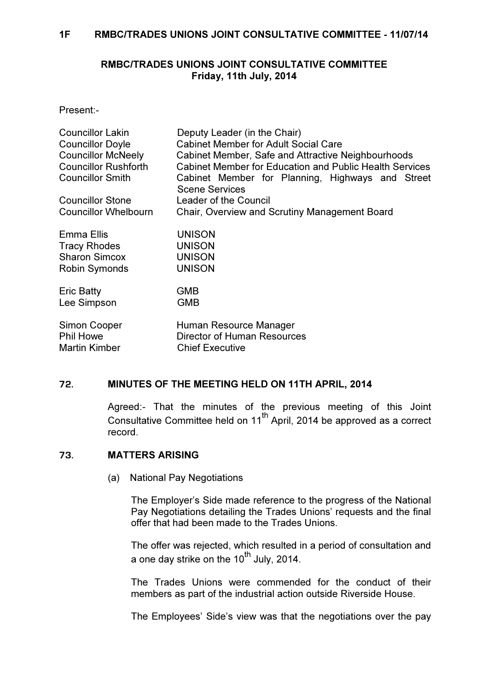### RMBC/TRADES UNIONS JOINT CONSULTATIVE COMMITTEE Friday, 11th July, 2014

Present:-

| <b>Councillor Lakin</b><br><b>Councillor Doyle</b><br><b>Councillor McNeely</b><br><b>Councillor Rushforth</b><br><b>Councillor Smith</b> | Deputy Leader (in the Chair)<br><b>Cabinet Member for Adult Social Care</b><br>Cabinet Member, Safe and Attractive Neighbourhoods<br>Cabinet Member for Education and Public Health Services<br>Cabinet Member for Planning, Highways and Street<br><b>Scene Services</b> |
|-------------------------------------------------------------------------------------------------------------------------------------------|---------------------------------------------------------------------------------------------------------------------------------------------------------------------------------------------------------------------------------------------------------------------------|
| <b>Councillor Stone</b>                                                                                                                   | Leader of the Council                                                                                                                                                                                                                                                     |
| <b>Councillor Whelbourn</b>                                                                                                               | Chair, Overview and Scrutiny Management Board                                                                                                                                                                                                                             |
| Emma Ellis                                                                                                                                | <b>UNISON</b>                                                                                                                                                                                                                                                             |
| <b>Tracy Rhodes</b>                                                                                                                       | <b>UNISON</b>                                                                                                                                                                                                                                                             |
| <b>Sharon Simcox</b>                                                                                                                      | <b>UNISON</b>                                                                                                                                                                                                                                                             |
| Robin Symonds                                                                                                                             | <b>UNISON</b>                                                                                                                                                                                                                                                             |
| <b>Eric Batty</b>                                                                                                                         | <b>GMB</b>                                                                                                                                                                                                                                                                |
| Lee Simpson                                                                                                                               | <b>GMB</b>                                                                                                                                                                                                                                                                |
| Simon Cooper                                                                                                                              | Human Resource Manager                                                                                                                                                                                                                                                    |
| <b>Phil Howe</b>                                                                                                                          | <b>Director of Human Resources</b>                                                                                                                                                                                                                                        |
| <b>Martin Kimber</b>                                                                                                                      | <b>Chief Executive</b>                                                                                                                                                                                                                                                    |

## 72. MINUTES OF THE MEETING HELD ON 11TH APRIL, 2014

 Agreed:- That the minutes of the previous meeting of this Joint Consultative Committee held on  $11^{th}$  April, 2014 be approved as a correct record.

#### 73. MATTERS ARISING

(a) National Pay Negotiations

The Employer's Side made reference to the progress of the National Pay Negotiations detailing the Trades Unions' requests and the final offer that had been made to the Trades Unions.

The offer was rejected, which resulted in a period of consultation and a one day strike on the  $10^{th}$  July, 2014.

The Trades Unions were commended for the conduct of their members as part of the industrial action outside Riverside House.

The Employees' Side's view was that the negotiations over the pay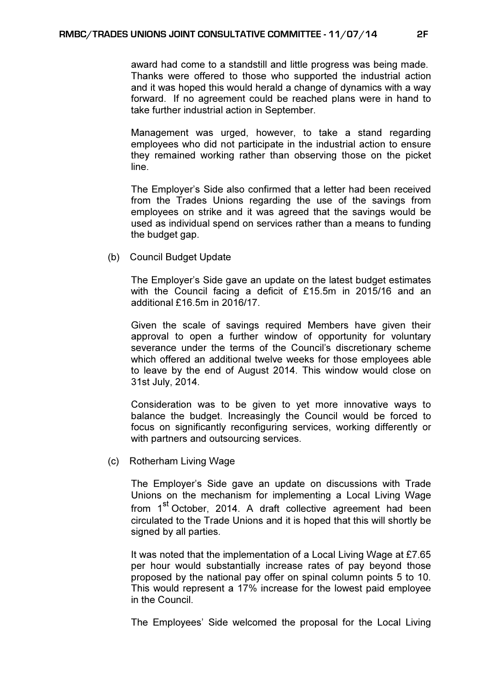award had come to a standstill and little progress was being made. Thanks were offered to those who supported the industrial action and it was hoped this would herald a change of dynamics with a way forward. If no agreement could be reached plans were in hand to take further industrial action in September.

Management was urged, however, to take a stand regarding employees who did not participate in the industrial action to ensure they remained working rather than observing those on the picket line.

The Employer's Side also confirmed that a letter had been received from the Trades Unions regarding the use of the savings from employees on strike and it was agreed that the savings would be used as individual spend on services rather than a means to funding the budget gap.

(b) Council Budget Update

The Employer's Side gave an update on the latest budget estimates with the Council facing a deficit of £15.5m in 2015/16 and an additional £16.5m in 2016/17.

Given the scale of savings required Members have given their approval to open a further window of opportunity for voluntary severance under the terms of the Council's discretionary scheme which offered an additional twelve weeks for those employees able to leave by the end of August 2014. This window would close on 31st July, 2014.

Consideration was to be given to yet more innovative ways to balance the budget. Increasingly the Council would be forced to focus on significantly reconfiguring services, working differently or with partners and outsourcing services.

(c) Rotherham Living Wage

The Employer's Side gave an update on discussions with Trade Unions on the mechanism for implementing a Local Living Wage from 1<sup>st</sup> October, 2014. A draft collective agreement had been circulated to the Trade Unions and it is hoped that this will shortly be signed by all parties.

It was noted that the implementation of a Local Living Wage at £7.65 per hour would substantially increase rates of pay beyond those proposed by the national pay offer on spinal column points 5 to 10. This would represent a 17% increase for the lowest paid employee in the Council.

The Employees' Side welcomed the proposal for the Local Living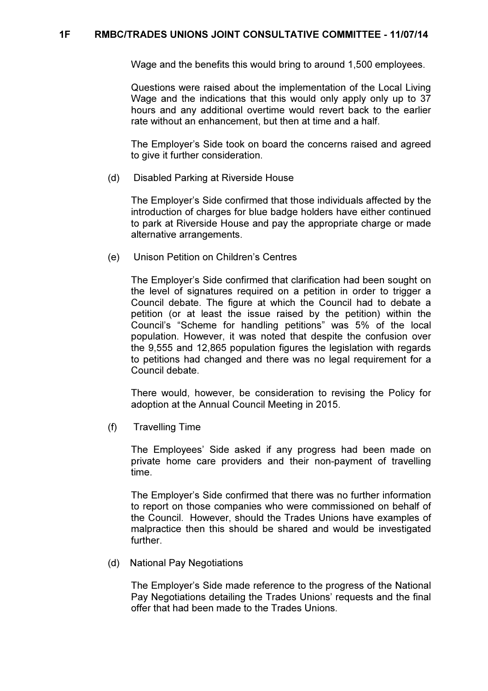### 1F RMBC/TRADES UNIONS JOINT CONSULTATIVE COMMITTEE - 11/07/14

Wage and the benefits this would bring to around 1,500 employees.

Questions were raised about the implementation of the Local Living Wage and the indications that this would only apply only up to 37 hours and any additional overtime would revert back to the earlier rate without an enhancement, but then at time and a half.

The Employer's Side took on board the concerns raised and agreed to give it further consideration.

(d) Disabled Parking at Riverside House

The Employer's Side confirmed that those individuals affected by the introduction of charges for blue badge holders have either continued to park at Riverside House and pay the appropriate charge or made alternative arrangements.

(e) Unison Petition on Children's Centres

The Employer's Side confirmed that clarification had been sought on the level of signatures required on a petition in order to trigger a Council debate. The figure at which the Council had to debate a petition (or at least the issue raised by the petition) within the Council's "Scheme for handling petitions" was 5% of the local population. However, it was noted that despite the confusion over the 9,555 and 12,865 population figures the legislation with regards to petitions had changed and there was no legal requirement for a Council debate.

There would, however, be consideration to revising the Policy for adoption at the Annual Council Meeting in 2015.

(f) Travelling Time

The Employees' Side asked if any progress had been made on private home care providers and their non-payment of travelling time.

The Employer's Side confirmed that there was no further information to report on those companies who were commissioned on behalf of the Council. However, should the Trades Unions have examples of malpractice then this should be shared and would be investigated further.

(d) National Pay Negotiations

The Employer's Side made reference to the progress of the National Pay Negotiations detailing the Trades Unions' requests and the final offer that had been made to the Trades Unions.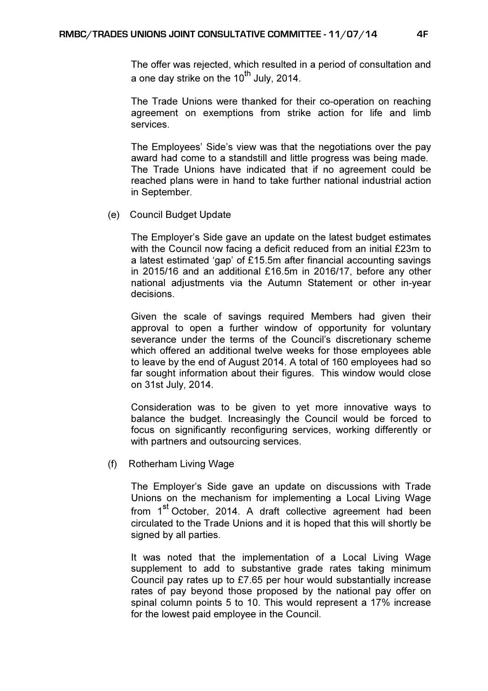The offer was rejected, which resulted in a period of consultation and a one day strike on the  $10^{th}$  July, 2014.

The Trade Unions were thanked for their co-operation on reaching agreement on exemptions from strike action for life and limb services.

The Employees' Side's view was that the negotiations over the pay award had come to a standstill and little progress was being made. The Trade Unions have indicated that if no agreement could be reached plans were in hand to take further national industrial action in September.

(e) Council Budget Update

The Employer's Side gave an update on the latest budget estimates with the Council now facing a deficit reduced from an initial £23m to a latest estimated 'gap' of £15.5m after financial accounting savings in 2015/16 and an additional £16.5m in 2016/17, before any other national adjustments via the Autumn Statement or other in-year decisions.

Given the scale of savings required Members had given their approval to open a further window of opportunity for voluntary severance under the terms of the Council's discretionary scheme which offered an additional twelve weeks for those employees able to leave by the end of August 2014. A total of 160 employees had so far sought information about their figures. This window would close on 31st July, 2014.

Consideration was to be given to yet more innovative ways to balance the budget. Increasingly the Council would be forced to focus on significantly reconfiguring services, working differently or with partners and outsourcing services.

(f) Rotherham Living Wage

The Employer's Side gave an update on discussions with Trade Unions on the mechanism for implementing a Local Living Wage from 1<sup>st</sup> October, 2014. A draft collective agreement had been circulated to the Trade Unions and it is hoped that this will shortly be signed by all parties.

It was noted that the implementation of a Local Living Wage supplement to add to substantive grade rates taking minimum Council pay rates up to £7.65 per hour would substantially increase rates of pay beyond those proposed by the national pay offer on spinal column points 5 to 10. This would represent a 17% increase for the lowest paid employee in the Council.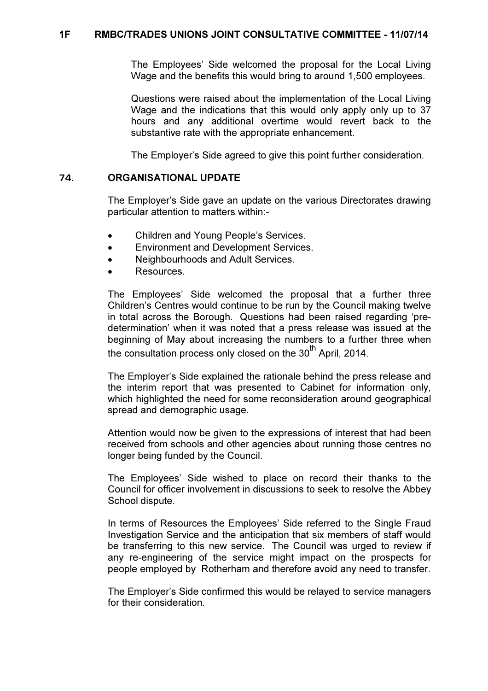The Employees' Side welcomed the proposal for the Local Living Wage and the benefits this would bring to around 1,500 employees.

Questions were raised about the implementation of the Local Living Wage and the indications that this would only apply only up to 37 hours and any additional overtime would revert back to the substantive rate with the appropriate enhancement.

The Employer's Side agreed to give this point further consideration.

#### 74. ORGANISATIONAL UPDATE

 The Employer's Side gave an update on the various Directorates drawing particular attention to matters within:-

- Children and Young People's Services.
- Environment and Development Services.
- Neighbourhoods and Adult Services.
- Resources.

The Employees' Side welcomed the proposal that a further three Children's Centres would continue to be run by the Council making twelve in total across the Borough. Questions had been raised regarding 'predetermination' when it was noted that a press release was issued at the beginning of May about increasing the numbers to a further three when the consultation process only closed on the 30<sup>th</sup> April, 2014.

The Employer's Side explained the rationale behind the press release and the interim report that was presented to Cabinet for information only, which highlighted the need for some reconsideration around geographical spread and demographic usage.

Attention would now be given to the expressions of interest that had been received from schools and other agencies about running those centres no longer being funded by the Council.

The Employees' Side wished to place on record their thanks to the Council for officer involvement in discussions to seek to resolve the Abbey School dispute.

In terms of Resources the Employees' Side referred to the Single Fraud Investigation Service and the anticipation that six members of staff would be transferring to this new service. The Council was urged to review if any re-engineering of the service might impact on the prospects for people employed by Rotherham and therefore avoid any need to transfer.

The Employer's Side confirmed this would be relayed to service managers for their consideration.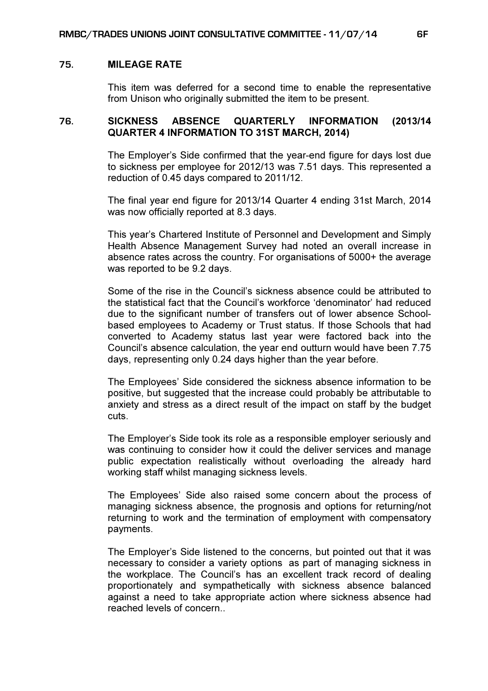#### 75. MILEAGE RATE

 This item was deferred for a second time to enable the representative from Unison who originally submitted the item to be present.

#### 76. SICKNESS ABSENCE QUARTERLY INFORMATION (2013/14 QUARTER 4 INFORMATION TO 31ST MARCH, 2014)

 The Employer's Side confirmed that the year-end figure for days lost due to sickness per employee for 2012/13 was 7.51 days. This represented a reduction of 0.45 days compared to 2011/12.

The final year end figure for 2013/14 Quarter 4 ending 31st March, 2014 was now officially reported at 8.3 days.

This year's Chartered Institute of Personnel and Development and Simply Health Absence Management Survey had noted an overall increase in absence rates across the country. For organisations of 5000+ the average was reported to be 9.2 days.

Some of the rise in the Council's sickness absence could be attributed to the statistical fact that the Council's workforce 'denominator' had reduced due to the significant number of transfers out of lower absence Schoolbased employees to Academy or Trust status. If those Schools that had converted to Academy status last year were factored back into the Council's absence calculation, the year end outturn would have been 7.75 days, representing only 0.24 days higher than the year before.

The Employees' Side considered the sickness absence information to be positive, but suggested that the increase could probably be attributable to anxiety and stress as a direct result of the impact on staff by the budget cuts.

The Employer's Side took its role as a responsible employer seriously and was continuing to consider how it could the deliver services and manage public expectation realistically without overloading the already hard working staff whilst managing sickness levels.

The Employees' Side also raised some concern about the process of managing sickness absence, the prognosis and options for returning/not returning to work and the termination of employment with compensatory payments.

The Employer's Side listened to the concerns, but pointed out that it was necessary to consider a variety options as part of managing sickness in the workplace. The Council's has an excellent track record of dealing proportionately and sympathetically with sickness absence balanced against a need to take appropriate action where sickness absence had reached levels of concern..